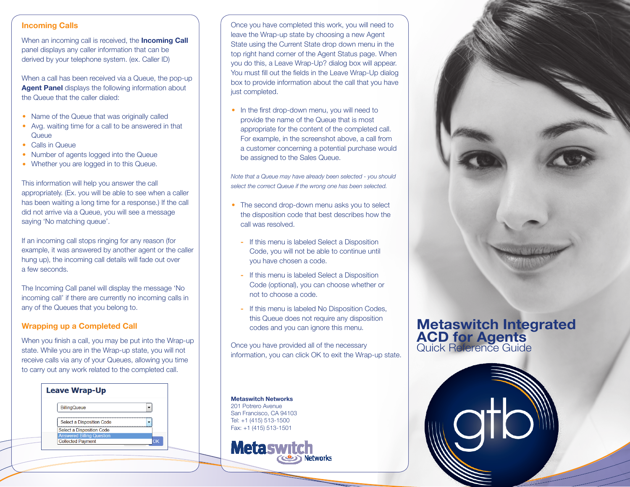## **Incoming Calls**

When an incoming call is received, the **Incoming Call** panel displays any caller information that can be derived by your telephone system. (ex. Caller ID)

When a call has been received via a Queue, the pop-up **Agent Panel** displays the following information about the Queue that the caller dialed:

- Name of the Queue that was originally called
- Avg. waiting time for a call to be answered in that **•** Queue
- Calls in Queue **•**
- Number of agents logged into the Queue **•**
- Whether you are logged in to this Queue. **•**

This information will help you answer the call appropriately. (Ex. you will be able to see when a caller has been waiting a long time for a response.) If the call did not arrive via a Queue, you will see a message saying 'No matching queue'.

If an incoming call stops ringing for any reason (for example, it was answered by another agent or the caller hung up), the incoming call details will fade out over a few seconds.

The Incoming Call panel will display the message 'No incoming call' if there are currently no incoming calls in any of the Queues that you belong to.

# **Wrapping up a Completed Call**

When you finish a call, you may be put into the Wrap-up state. While you are in the Wrap-up state, you will not receive calls via any of your Queues, allowing you time to carry out any work related to the completed call.

| <b>Leave Wrap-Up</b>             |
|----------------------------------|
| <b>BillingQueue</b>              |
| <b>Select a Disposition Code</b> |
| Select a Disposition Code        |
| <b>Answered Billing Question</b> |
| <b>Collected Payment</b><br>ОK   |
|                                  |

Once you have completed this work, you will need to leave the Wrap-up state by choosing a new Agent State using the Current State drop down menu in the top right hand corner of the Agent Status page. When you do this, a Leave Wrap-Up? dialog box will appear. You must fill out the fields in the Leave Wrap-Up dialog box to provide information about the call that you have just completed.

In the first drop-down menu, you will need to provide the name of the Queue that is most appropriate for the content of the completed call. For example, in the screenshot above, a call from a customer concerning a potential purchase would be assigned to the Sales Queue.

*Note that a Queue may have already been selected - you should select the correct Queue if the wrong one has been selected.*

- The second drop-down menu asks you to select the disposition code that best describes how the call was resolved.
	- If this menu is labeled Select a Disposition Code, you will not be able to continue until you have chosen a code.
	- If this menu is labeled Select a Disposition Code (optional), you can choose whether or not to choose a code.
	- If this menu is labeled No Disposition Codes, this Queue does not require any disposition codes and you can ignore this menu.

Once you have provided all of the necessary information, you can click OK to exit the Wrap-up state.

Networks

**Metaswitch Networks** 201 Potrero Avenue San Francisco, CA 94103 Tel: +1 (415) 513-1500 Fax: +1 (415) 513-1501

**Metaswitch** 

# **Metaswitch Integrated ACD for Agents** Quick Reference Guide